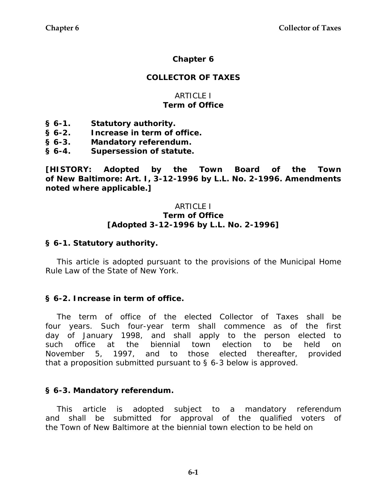# **Chapter 6**

# **COLLECTOR OF TAXES**

### ARTICLE I **Term of Office**

- **§ 6-1. Statutory authority.**
- **§ 6-2. Increase in term of office.**
- **§ 6-3. Mandatory referendum.**
- **§ 6-4. Supersession of statute.**

**[HISTORY: Adopted by the Town Board of the Town of New Baltimore: Art. I, 3-12-1996 by L.L. No. 2-1996. Amendments noted where applicable.]** 

#### ARTICLE I **Term of Office [Adopted 3-12-1996 by L.L. No. 2-1996]**

### **§ 6-1. Statutory authority.**

This article is adopted pursuant to the provisions of the Municipal Home Rule Law of the State of New York.

### **§ 6-2. Increase in term of office.**

The term of office of the elected Collector of Taxes shall be four years. Such four-year term shall commence as of the first day of January 1998, and shall apply to the person elected to such office at the biennial town election to be held on November 5, 1997, and to those elected thereafter, provided that a proposition submitted pursuant to § 6-3 below is approved.

#### **§ 6-3. Mandatory referendum.**

This article is adopted subject to a mandatory referendum and shall be submitted for approval of the qualified voters of the Town of New Baltimore at the biennial town election to be held on